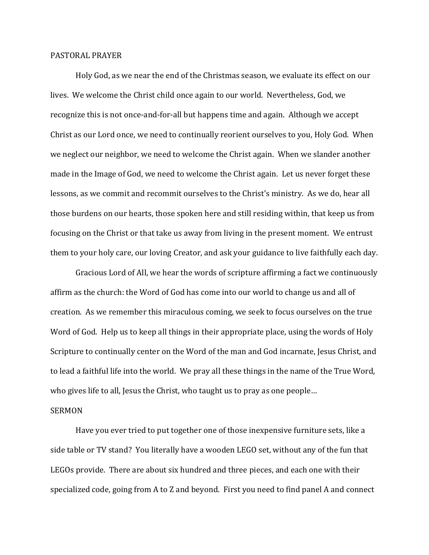## PASTORAL PRAYER

 Holy God, as we near the end of the Christmas season, we evaluate its effect on our lives. We welcome the Christ child once again to our world. Nevertheless, God, we recognize this is not once-and-for-all but happens time and again. Although we accept Christ as our Lord once, we need to continually reorient ourselves to you, Holy God. When we neglect our neighbor, we need to welcome the Christ again. When we slander another made in the Image of God, we need to welcome the Christ again. Let us never forget these lessons, as we commit and recommit ourselves to the Christ's ministry. As we do, hear all those burdens on our hearts, those spoken here and still residing within, that keep us from focusing on the Christ or that take us away from living in the present moment. We entrust them to your holy care, our loving Creator, and ask your guidance to live faithfully each day.

 Gracious Lord of All, we hear the words of scripture affirming a fact we continuously affirm as the church: the Word of God has come into our world to change us and all of creation. As we remember this miraculous coming, we seek to focus ourselves on the true Word of God. Help us to keep all things in their appropriate place, using the words of Holy Scripture to continually center on the Word of the man and God incarnate, Jesus Christ, and to lead a faithful life into the world. We pray all these things in the name of the True Word, who gives life to all, Jesus the Christ, who taught us to pray as one people…

## SERMON

 Have you ever tried to put together one of those inexpensive furniture sets, like a side table or TV stand? You literally have a wooden LEGO set, without any of the fun that LEGOs provide. There are about six hundred and three pieces, and each one with their specialized code, going from A to Z and beyond. First you need to find panel A and connect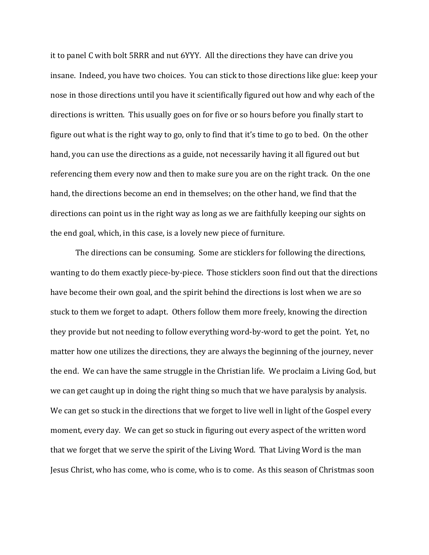it to panel C with bolt 5RRR and nut 6YYY. All the directions they have can drive you insane. Indeed, you have two choices. You can stick to those directions like glue: keep your nose in those directions until you have it scientifically figured out how and why each of the directions is written. This usually goes on for five or so hours before you finally start to figure out what is the right way to go, only to find that it's time to go to bed. On the other hand, you can use the directions as a guide, not necessarily having it all figured out but referencing them every now and then to make sure you are on the right track. On the one hand, the directions become an end in themselves; on the other hand, we find that the directions can point us in the right way as long as we are faithfully keeping our sights on the end goal, which, in this case, is a lovely new piece of furniture.

 The directions can be consuming. Some are sticklers for following the directions, wanting to do them exactly piece-by-piece. Those sticklers soon find out that the directions have become their own goal, and the spirit behind the directions is lost when we are so stuck to them we forget to adapt. Others follow them more freely, knowing the direction they provide but not needing to follow everything word-by-word to get the point. Yet, no matter how one utilizes the directions, they are always the beginning of the journey, never the end. We can have the same struggle in the Christian life. We proclaim a Living God, but we can get caught up in doing the right thing so much that we have paralysis by analysis. We can get so stuck in the directions that we forget to live well in light of the Gospel every moment, every day. We can get so stuck in figuring out every aspect of the written word that we forget that we serve the spirit of the Living Word. That Living Word is the man Jesus Christ, who has come, who is come, who is to come. As this season of Christmas soon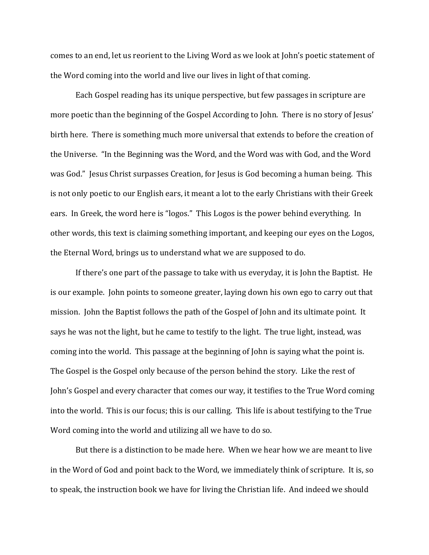comes to an end, let us reorient to the Living Word as we look at John's poetic statement of the Word coming into the world and live our lives in light of that coming.

 Each Gospel reading has its unique perspective, but few passages in scripture are more poetic than the beginning of the Gospel According to John. There is no story of Jesus' birth here. There is something much more universal that extends to before the creation of the Universe. "In the Beginning was the Word, and the Word was with God, and the Word was God." Jesus Christ surpasses Creation, for Jesus is God becoming a human being. This is not only poetic to our English ears, it meant a lot to the early Christians with their Greek ears. In Greek, the word here is "logos." This Logos is the power behind everything. In other words, this text is claiming something important, and keeping our eyes on the Logos, the Eternal Word, brings us to understand what we are supposed to do.

 If there's one part of the passage to take with us everyday, it is John the Baptist. He is our example. John points to someone greater, laying down his own ego to carry out that mission. John the Baptist follows the path of the Gospel of John and its ultimate point. It says he was not the light, but he came to testify to the light. The true light, instead, was coming into the world. This passage at the beginning of John is saying what the point is. The Gospel is the Gospel only because of the person behind the story. Like the rest of John's Gospel and every character that comes our way, it testifies to the True Word coming into the world. This is our focus; this is our calling. This life is about testifying to the True Word coming into the world and utilizing all we have to do so.

 But there is a distinction to be made here. When we hear how we are meant to live in the Word of God and point back to the Word, we immediately think of scripture. It is, so to speak, the instruction book we have for living the Christian life. And indeed we should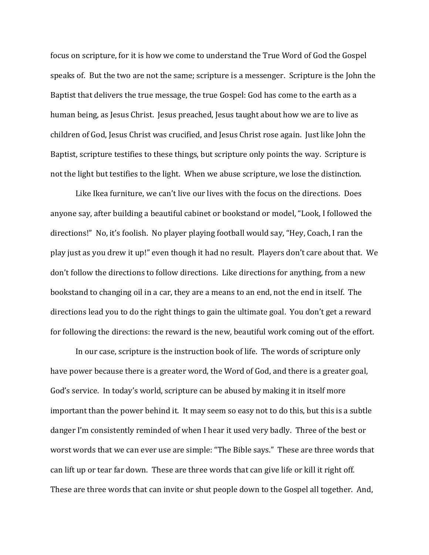focus on scripture, for it is how we come to understand the True Word of God the Gospel speaks of. But the two are not the same; scripture is a messenger. Scripture is the John the Baptist that delivers the true message, the true Gospel: God has come to the earth as a human being, as Jesus Christ. Jesus preached, Jesus taught about how we are to live as children of God, Jesus Christ was crucified, and Jesus Christ rose again. Just like John the Baptist, scripture testifies to these things, but scripture only points the way. Scripture is not the light but testifies to the light. When we abuse scripture, we lose the distinction.

Like Ikea furniture, we can't live our lives with the focus on the directions. Does anyone say, after building a beautiful cabinet or bookstand or model, "Look, I followed the directions!" No, it's foolish. No player playing football would say, "Hey, Coach, I ran the play just as you drew it up!" even though it had no result. Players don't care about that. We don't follow the directions to follow directions. Like directions for anything, from a new bookstand to changing oil in a car, they are a means to an end, not the end in itself. The directions lead you to do the right things to gain the ultimate goal. You don't get a reward for following the directions: the reward is the new, beautiful work coming out of the effort.

In our case, scripture is the instruction book of life. The words of scripture only have power because there is a greater word, the Word of God, and there is a greater goal, God's service. In today's world, scripture can be abused by making it in itself more important than the power behind it. It may seem so easy not to do this, but this is a subtle danger I'm consistently reminded of when I hear it used very badly. Three of the best or worst words that we can ever use are simple: "The Bible says." These are three words that can lift up or tear far down. These are three words that can give life or kill it right off. These are three words that can invite or shut people down to the Gospel all together. And,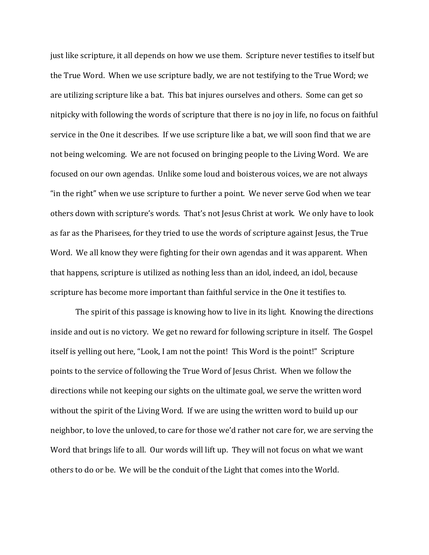just like scripture, it all depends on how we use them. Scripture never testifies to itself but the True Word. When we use scripture badly, we are not testifying to the True Word; we are utilizing scripture like a bat. This bat injures ourselves and others. Some can get so nitpicky with following the words of scripture that there is no joy in life, no focus on faithful service in the One it describes. If we use scripture like a bat, we will soon find that we are not being welcoming. We are not focused on bringing people to the Living Word. We are focused on our own agendas. Unlike some loud and boisterous voices, we are not always "in the right" when we use scripture to further a point. We never serve God when we tear others down with scripture's words. That's not Jesus Christ at work. We only have to look as far as the Pharisees, for they tried to use the words of scripture against Jesus, the True Word. We all know they were fighting for their own agendas and it was apparent. When that happens, scripture is utilized as nothing less than an idol, indeed, an idol, because scripture has become more important than faithful service in the One it testifies to.

The spirit of this passage is knowing how to live in its light. Knowing the directions inside and out is no victory. We get no reward for following scripture in itself. The Gospel itself is yelling out here, "Look, I am not the point! This Word is the point!" Scripture points to the service of following the True Word of Jesus Christ. When we follow the directions while not keeping our sights on the ultimate goal, we serve the written word without the spirit of the Living Word. If we are using the written word to build up our neighbor, to love the unloved, to care for those we'd rather not care for, we are serving the Word that brings life to all. Our words will lift up. They will not focus on what we want others to do or be. We will be the conduit of the Light that comes into the World.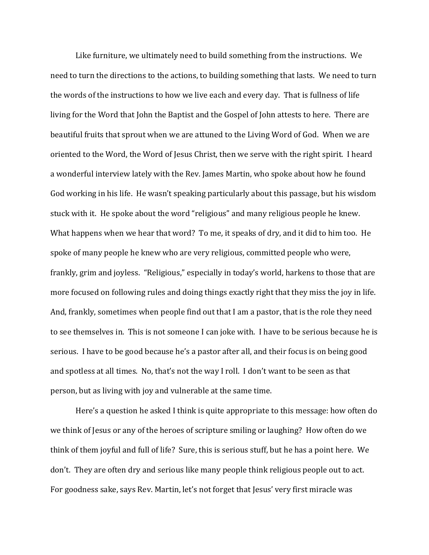Like furniture, we ultimately need to build something from the instructions. We need to turn the directions to the actions, to building something that lasts. We need to turn the words of the instructions to how we live each and every day. That is fullness of life living for the Word that John the Baptist and the Gospel of John attests to here. There are beautiful fruits that sprout when we are attuned to the Living Word of God. When we are oriented to the Word, the Word of Jesus Christ, then we serve with the right spirit. I heard a wonderful interview lately with the Rev. James Martin, who spoke about how he found God working in his life. He wasn't speaking particularly about this passage, but his wisdom stuck with it. He spoke about the word "religious" and many religious people he knew. What happens when we hear that word? To me, it speaks of dry, and it did to him too. He spoke of many people he knew who are very religious, committed people who were, frankly, grim and joyless. "Religious," especially in today's world, harkens to those that are more focused on following rules and doing things exactly right that they miss the joy in life. And, frankly, sometimes when people find out that I am a pastor, that is the role they need to see themselves in. This is not someone I can joke with. I have to be serious because he is serious. I have to be good because he's a pastor after all, and their focus is on being good and spotless at all times. No, that's not the way I roll. I don't want to be seen as that person, but as living with joy and vulnerable at the same time.

Here's a question he asked I think is quite appropriate to this message: how often do we think of Jesus or any of the heroes of scripture smiling or laughing? How often do we think of them joyful and full of life? Sure, this is serious stuff, but he has a point here. We don't. They are often dry and serious like many people think religious people out to act. For goodness sake, says Rev. Martin, let's not forget that Jesus' very first miracle was